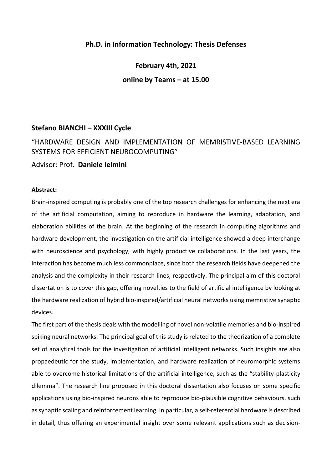## **Ph.D. in Information Technology: Thesis Defenses**

**February 4th, 2021 online by Teams – at 15.00**

# **Stefano BIANCHI – XXXIII Cycle**

"HARDWARE DESIGN AND IMPLEMENTATION OF MEMRISTIVE-BASED LEARNING SYSTEMS FOR EFFICIENT NEUROCOMPUTING"

Advisor: Prof. **Daniele Ielmini**

## **Abstract:**

Brain-inspired computing is probably one of the top research challenges for enhancing the next era of the artificial computation, aiming to reproduce in hardware the learning, adaptation, and elaboration abilities of the brain. At the beginning of the research in computing algorithms and hardware development, the investigation on the artificial intelligence showed a deep interchange with neuroscience and psychology, with highly productive collaborations. In the last years, the interaction has become much less commonplace, since both the research fields have deepened the analysis and the complexity in their research lines, respectively. The principal aim of this doctoral dissertation is to cover this gap, offering novelties to the field of artificial intelligence by looking at the hardware realization of hybrid bio-inspired/artificial neural networks using memristive synaptic devices.

The first part of the thesis deals with the modelling of novel non-volatile memories and bio-inspired spiking neural networks. The principal goal of this study is related to the theorization of a complete set of analytical tools for the investigation of artificial intelligent networks. Such insights are also propaedeutic for the study, implementation, and hardware realization of neuromorphic systems able to overcome historical limitations of the artificial intelligence, such as the "stability-plasticity dilemma". The research line proposed in this doctoral dissertation also focuses on some specific applications using bio-inspired neurons able to reproduce bio-plausible cognitive behaviours, such as synaptic scaling and reinforcement learning. In particular, a self-referential hardware is described in detail, thus offering an experimental insight over some relevant applications such as decision-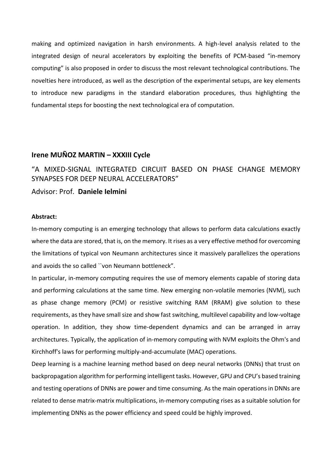making and optimized navigation in harsh environments. A high-level analysis related to the integrated design of neural accelerators by exploiting the benefits of PCM-based "in-memory computing" is also proposed in order to discuss the most relevant technological contributions. The novelties here introduced, as well as the description of the experimental setups, are key elements to introduce new paradigms in the standard elaboration procedures, thus highlighting the fundamental steps for boosting the next technological era of computation.

#### **Irene MUÑOZ MARTIN – XXXIII Cycle**

"A MIXED-SIGNAL INTEGRATED CIRCUIT BASED ON PHASE CHANGE MEMORY SYNAPSES FOR DEEP NEURAL ACCELERATORS"

#### Advisor: Prof. **Daniele Ielmini**

## **Abstract:**

In-memory computing is an emerging technology that allows to perform data calculations exactly where the data are stored, that is, on the memory. It rises as a very effective method for overcoming the limitations of typical von Neumann architectures since it massively parallelizes the operations and avoids the so called ``von Neumann bottleneck".

In particular, in-memory computing requires the use of memory elements capable of storing data and performing calculations at the same time. New emerging non-volatile memories (NVM), such as phase change memory (PCM) or resistive switching RAM (RRAM) give solution to these requirements, as they have small size and show fast switching, multilevel capability and low-voltage operation. In addition, they show time-dependent dynamics and can be arranged in array architectures. Typically, the application of in-memory computing with NVM exploits the Ohm's and Kirchhoff's laws for performing multiply-and-accumulate (MAC) operations.

Deep learning is a machine learning method based on deep neural networks (DNNs) that trust on backpropagation algorithm for performing intelligent tasks. However, GPU and CPU's based training and testing operations of DNNs are power and time consuming. As the main operations in DNNs are related to dense matrix-matrix multiplications, in-memory computing rises as a suitable solution for implementing DNNs as the power efficiency and speed could be highly improved.